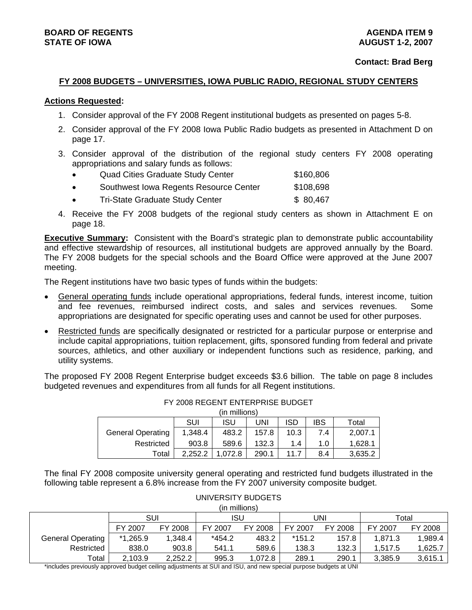## **BOARD OF REGENTS** AGENERATION OF REGENTS AGENERATION OF REGENTS AGENERATION OF REGENTS AGENERATION OF REGENTS AGENERATION OF REGENTS AGENERATION OF REGENTS AGENERATION OF REGENTS AGENERATION OF REGENTS AGENERATION OF REGE **STATE OF IOWA AUGUST 1-2, 2007**

#### **Contact: Brad Berg**

#### **FY 2008 BUDGETS – UNIVERSITIES, IOWA PUBLIC RADIO, REGIONAL STUDY CENTERS**

#### **Actions Requested:**

- 1. Consider approval of the FY 2008 Regent institutional budgets as presented on pages 5-8.
- 2. Consider approval of the FY 2008 Iowa Public Radio budgets as presented in Attachment D on page 17.
- 3. Consider approval of the distribution of the regional study centers FY 2008 operating appropriations and salary funds as follows:
	- Quad Cities Graduate Study Center \$160,806
	- Southwest Iowa Regents Resource Center \$108,698
	- Tri-State Graduate Study Center **\$ 80,467**
- 4. Receive the FY 2008 budgets of the regional study centers as shown in Attachment E on page 18.

**Executive Summary:** Consistent with the Board's strategic plan to demonstrate public accountability and effective stewardship of resources, all institutional budgets are approved annually by the Board. The FY 2008 budgets for the special schools and the Board Office were approved at the June 2007 meeting.

The Regent institutions have two basic types of funds within the budgets:

- General operating funds include operational appropriations, federal funds, interest income, tuition and fee revenues, reimbursed indirect costs, and sales and services revenues. Some appropriations are designated for specific operating uses and cannot be used for other purposes.
- Restricted funds are specifically designated or restricted for a particular purpose or enterprise and include capital appropriations, tuition replacement, gifts, sponsored funding from federal and private sources, athletics, and other auxiliary or independent functions such as residence, parking, and utility systems.

The proposed FY 2008 Regent Enterprise budget exceeds \$3.6 billion. The table on page 8 includes budgeted revenues and expenditures from all funds for all Regent institutions.

|                          |         | (in millions) |       |            |            |         |
|--------------------------|---------|---------------|-------|------------|------------|---------|
|                          | SUI     | ISU           | UNI   | <b>ISD</b> | <b>IBS</b> | Total   |
| <b>General Operating</b> | 1,348.4 | 483.2         | 157.8 | 10.3       | 7.4        | 2,007.1 |
| Restricted               | 903.8   | 589.6         | 132.3 | 1.4        | 1.0        | 1.628.1 |
| Total                    | 2.252.2 | 1.072.8       | 290.1 | 11.7       | 8.4        | 3,635.2 |

FY 2008 REGENT ENTERPRISE BUDGET

The final FY 2008 composite university general operating and restricted fund budgets illustrated in the following table represent a 6.8% increase from the FY 2007 university composite budget.

|                          |            |         | (in millions) |         |          |         |         |         |
|--------------------------|------------|---------|---------------|---------|----------|---------|---------|---------|
|                          | SUI        |         | ISU           |         |          | JNI     | Total   |         |
|                          | FY 2007    | FY 2008 | FY 2007       | FY 2008 | FY 2007  | FY 2008 | FY 2007 | FY 2008 |
| <b>General Operating</b> | $*1,265.9$ | 1,348.4 | $*454.2$      | 483.2   | $*151.2$ | 157.8   | 1.871.3 | 1,989.4 |
| Restricted               | 838.0      | 903.8   | 541.1         | 589.6   | 138.3    | 132.3   | 1.517.5 | ,625.7  |
| Total                    | 2,103.9    | 2,252.2 | 995.3         | 1.072.8 | 289.1    | 290.1   | 3.385.9 | 3.615.1 |

\*includes previously approved budget ceiling adjustments at SUI and ISU, and new special purpose budgets at UNI

# UNIVERSITY BUDGETS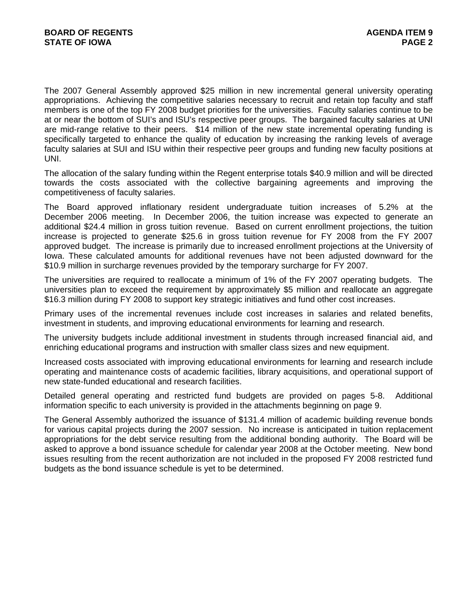The 2007 General Assembly approved \$25 million in new incremental general university operating appropriations. Achieving the competitive salaries necessary to recruit and retain top faculty and staff members is one of the top FY 2008 budget priorities for the universities. Faculty salaries continue to be at or near the bottom of SUI's and ISU's respective peer groups. The bargained faculty salaries at UNI are mid-range relative to their peers. \$14 million of the new state incremental operating funding is specifically targeted to enhance the quality of education by increasing the ranking levels of average faculty salaries at SUI and ISU within their respective peer groups and funding new faculty positions at UNI.

The allocation of the salary funding within the Regent enterprise totals \$40.9 million and will be directed towards the costs associated with the collective bargaining agreements and improving the competitiveness of faculty salaries.

The Board approved inflationary resident undergraduate tuition increases of 5.2% at the December 2006 meeting. In December 2006, the tuition increase was expected to generate an additional \$24.4 million in gross tuition revenue. Based on current enrollment projections, the tuition increase is projected to generate \$25.6 in gross tuition revenue for FY 2008 from the FY 2007 approved budget. The increase is primarily due to increased enrollment projections at the University of Iowa. These calculated amounts for additional revenues have not been adjusted downward for the \$10.9 million in surcharge revenues provided by the temporary surcharge for FY 2007.

The universities are required to reallocate a minimum of 1% of the FY 2007 operating budgets. The universities plan to exceed the requirement by approximately \$5 million and reallocate an aggregate \$16.3 million during FY 2008 to support key strategic initiatives and fund other cost increases.

Primary uses of the incremental revenues include cost increases in salaries and related benefits, investment in students, and improving educational environments for learning and research.

The university budgets include additional investment in students through increased financial aid, and enriching educational programs and instruction with smaller class sizes and new equipment.

Increased costs associated with improving educational environments for learning and research include operating and maintenance costs of academic facilities, library acquisitions, and operational support of new state-funded educational and research facilities.

Detailed general operating and restricted fund budgets are provided on pages 5-8. Additional information specific to each university is provided in the attachments beginning on page 9.

The General Assembly authorized the issuance of \$131.4 million of academic building revenue bonds for various capital projects during the 2007 session. No increase is anticipated in tuition replacement appropriations for the debt service resulting from the additional bonding authority. The Board will be asked to approve a bond issuance schedule for calendar year 2008 at the October meeting. New bond issues resulting from the recent authorization are not included in the proposed FY 2008 restricted fund budgets as the bond issuance schedule is yet to be determined.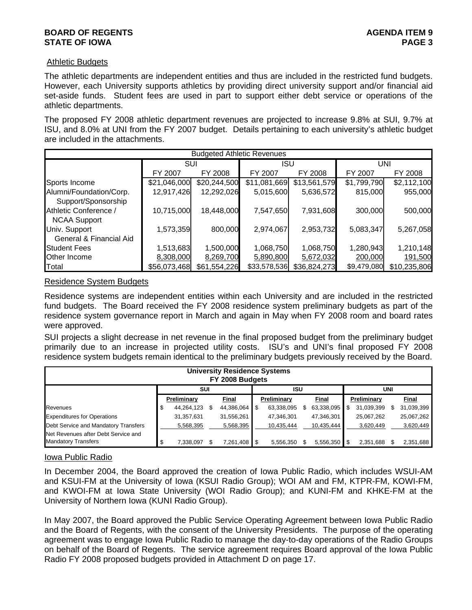## **BOARD OF REGENTS** AGENERATION OF REGENTS **STATE OF IOWA** PAGE 3

## Athletic Budgets

The athletic departments are independent entities and thus are included in the restricted fund budgets. However, each University supports athletics by providing direct university support and/or financial aid set-aside funds. Student fees are used in part to support either debt service or operations of the athletic departments.

The proposed FY 2008 athletic department revenues are projected to increase 9.8% at SUI, 9.7% at ISU, and 8.0% at UNI from the FY 2007 budget. Details pertaining to each university's athletic budget are included in the attachments.

|                         | <b>Budgeted Athletic Revenues</b> |              |              |              |             |              |  |  |  |  |  |
|-------------------------|-----------------------------------|--------------|--------------|--------------|-------------|--------------|--|--|--|--|--|
|                         | SUI                               |              | ISU          |              | UNI         |              |  |  |  |  |  |
|                         | FY 2008<br>FY 2007                |              | FY 2007      | FY 2008      | FY 2007     | FY 2008      |  |  |  |  |  |
| Sports Income           | \$21,046,000                      | \$20,244,500 | \$11,081,669 | \$13,561,579 | \$1,799,790 | \$2,112,100  |  |  |  |  |  |
| Alumni/Foundation/Corp. | 12,917,426                        | 12,292,026   | 5,015,600    | 5,636,572    | 815,000     | 955,000      |  |  |  |  |  |
| Support/Sponsorship     |                                   |              |              |              |             |              |  |  |  |  |  |
| Athletic Conference /   | 10,715,000                        | 18,448,000   | 7,547,650    | 7,931,608    | 300,000     | 500,000      |  |  |  |  |  |
| <b>NCAA Support</b>     |                                   |              |              |              |             |              |  |  |  |  |  |
| Univ. Support           | 1,573,359                         | 800,000      | 2,974,067    | 2,953,732    | 5,083,347   | 5,267,058    |  |  |  |  |  |
| General & Financial Aid |                                   |              |              |              |             |              |  |  |  |  |  |
| <b>Student Fees</b>     | 1,513,683                         | 1,500,000    | 1,068,750    | 1,068,750    | 1,280,943   | 1,210,148    |  |  |  |  |  |
| Other Income            | 8,308,000                         | 8,269,700    | 5,890,800    | 5,672,032    | 200,000     | 191,500      |  |  |  |  |  |
| Total                   | \$56,073,468                      | \$61,554,226 | \$33,578,536 | \$36,824,273 | \$9,479,080 | \$10,235,806 |  |  |  |  |  |

## Residence System Budgets

Residence systems are independent entities within each University and are included in the restricted fund budgets. The Board received the FY 2008 residence system preliminary budgets as part of the residence system governance report in March and again in May when FY 2008 room and board rates were approved.

SUI projects a slight decrease in net revenue in the final proposed budget from the preliminary budget primarily due to an increase in projected utility costs. ISU's and UNI's final proposed FY 2008 residence system budgets remain identical to the preliminary budgets previously received by the Board.

| <b>University Residence Systems</b><br>FY 2008 Budgets            |      |             |  |              |  |             |  |            |     |             |  |            |  |
|-------------------------------------------------------------------|------|-------------|--|--------------|--|-------------|--|------------|-----|-------------|--|------------|--|
| SUI<br><b>ISU</b>                                                 |      |             |  |              |  |             |  |            |     | <b>UNI</b>  |  |            |  |
|                                                                   |      | Preliminary |  | Final        |  | Preliminary |  | Final      |     | Preliminary |  | Final      |  |
| <b>Revenues</b>                                                   | \$   | 44,264,123  |  | 44,386,064   |  | 63,338,095  |  | 63,338,095 | \$. | 31,039,399  |  | 31,039,399 |  |
| <b>Expenditures for Operations</b>                                |      | 31,357,631  |  | 31,556,261   |  | 47,346,301  |  | 47,346,301 |     | 25,067,262  |  | 25,067,262 |  |
| Debt Service and Mandatory Transfers                              |      | 5,568,395   |  | 5,568,395    |  | 10,435,444  |  | 10,435,444 |     | 3,620,449   |  | 3,620,449  |  |
| Net Revenues after Debt Service and<br><b>Mandatory Transfers</b> | - \$ | 7,338,097   |  | 7,261,408 \$ |  | 5,556,350   |  | 5,556,350  | \$  | 2,351,688   |  | 2,351,688  |  |

## Iowa Public Radio

In December 2004, the Board approved the creation of Iowa Public Radio, which includes WSUI-AM and KSUI-FM at the University of Iowa (KSUI Radio Group); WOI AM and FM, KTPR-FM, KOWI-FM, and KWOI-FM at Iowa State University (WOI Radio Group); and KUNI-FM and KHKE-FM at the University of Northern Iowa (KUNI Radio Group).

In May 2007, the Board approved the Public Service Operating Agreement between Iowa Public Radio and the Board of Regents, with the consent of the University Presidents. The purpose of the operating agreement was to engage Iowa Public Radio to manage the day-to-day operations of the Radio Groups on behalf of the Board of Regents. The service agreement requires Board approval of the Iowa Public Radio FY 2008 proposed budgets provided in Attachment D on page 17.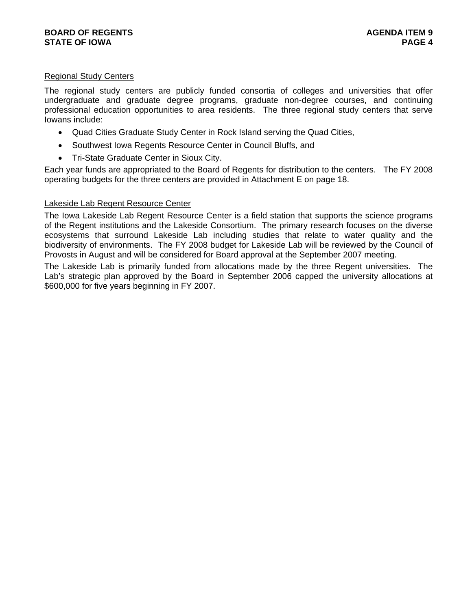## Regional Study Centers

The regional study centers are publicly funded consortia of colleges and universities that offer undergraduate and graduate degree programs, graduate non-degree courses, and continuing professional education opportunities to area residents. The three regional study centers that serve Iowans include:

- Quad Cities Graduate Study Center in Rock Island serving the Quad Cities,
- Southwest Iowa Regents Resource Center in Council Bluffs, and
- Tri-State Graduate Center in Sioux City.

Each year funds are appropriated to the Board of Regents for distribution to the centers. The FY 2008 operating budgets for the three centers are provided in Attachment E on page 18.

#### Lakeside Lab Regent Resource Center

The Iowa Lakeside Lab Regent Resource Center is a field station that supports the science programs of the Regent institutions and the Lakeside Consortium. The primary research focuses on the diverse ecosystems that surround Lakeside Lab including studies that relate to water quality and the biodiversity of environments. The FY 2008 budget for Lakeside Lab will be reviewed by the Council of Provosts in August and will be considered for Board approval at the September 2007 meeting.

The Lakeside Lab is primarily funded from allocations made by the three Regent universities. The Lab's strategic plan approved by the Board in September 2006 capped the university allocations at \$600,000 for five years beginning in FY 2007.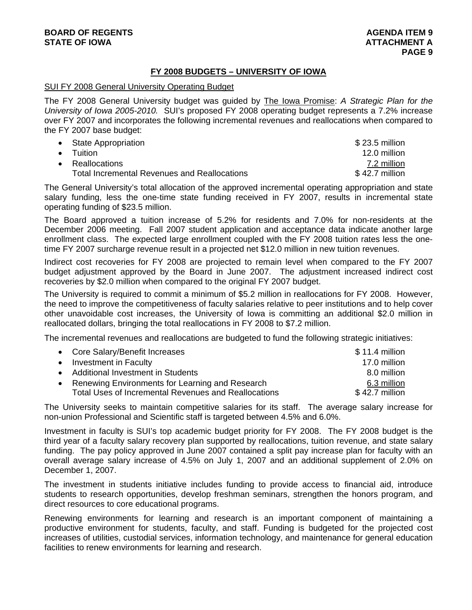## **FY 2008 BUDGETS – UNIVERSITY OF IOWA**

#### SUI FY 2008 General University Operating Budget

The FY 2008 General University budget was guided by The Iowa Promise: *A Strategic Plan for the University of Iowa 2005-2010.* SUI's proposed FY 2008 operating budget represents a 7.2% increase over FY 2007 and incorporates the following incremental revenues and reallocations when compared to the FY 2007 base budget:

| • State Appropriation                               | $$23.5$ million |
|-----------------------------------------------------|-----------------|
| $\bullet$ Tuition                                   | 12.0 million    |
| • Reallocations                                     | 7.2 million     |
| <b>Total Incremental Revenues and Reallocations</b> | $$42.7$ million |

The General University's total allocation of the approved incremental operating appropriation and state salary funding, less the one-time state funding received in FY 2007, results in incremental state operating funding of \$23.5 million.

The Board approved a tuition increase of 5.2% for residents and 7.0% for non-residents at the December 2006 meeting. Fall 2007 student application and acceptance data indicate another large enrollment class. The expected large enrollment coupled with the FY 2008 tuition rates less the onetime FY 2007 surcharge revenue result in a projected net \$12.0 million in new tuition revenues.

Indirect cost recoveries for FY 2008 are projected to remain level when compared to the FY 2007 budget adjustment approved by the Board in June 2007. The adjustment increased indirect cost recoveries by \$2.0 million when compared to the original FY 2007 budget.

The University is required to commit a minimum of \$5.2 million in reallocations for FY 2008. However, the need to improve the competitiveness of faculty salaries relative to peer institutions and to help cover other unavoidable cost increases, the University of Iowa is committing an additional \$2.0 million in reallocated dollars, bringing the total reallocations in FY 2008 to \$7.2 million.

The incremental revenues and reallocations are budgeted to fund the following strategic initiatives:

| • Core Salary/Benefit Increases                      | $$11.4$ million |
|------------------------------------------------------|-----------------|
| • Investment in Faculty                              | 17.0 million    |
| • Additional Investment in Students                  | 8.0 million     |
| • Renewing Environments for Learning and Research    | 6.3 million     |
| Total Uses of Incremental Revenues and Reallocations | $$42.7$ million |

The University seeks to maintain competitive salaries for its staff. The average salary increase for non-union Professional and Scientific staff is targeted between 4.5% and 6.0%.

Investment in faculty is SUI's top academic budget priority for FY 2008. The FY 2008 budget is the third year of a faculty salary recovery plan supported by reallocations, tuition revenue, and state salary funding. The pay policy approved in June 2007 contained a split pay increase plan for faculty with an overall average salary increase of 4.5% on July 1, 2007 and an additional supplement of 2.0% on December 1, 2007.

The investment in students initiative includes funding to provide access to financial aid, introduce students to research opportunities, develop freshman seminars, strengthen the honors program, and direct resources to core educational programs.

Renewing environments for learning and research is an important component of maintaining a productive environment for students, faculty, and staff. Funding is budgeted for the projected cost increases of utilities, custodial services, information technology, and maintenance for general education facilities to renew environments for learning and research.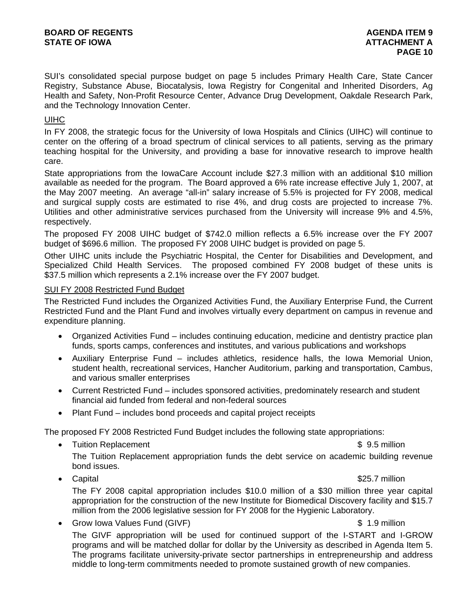SUI's consolidated special purpose budget on page 5 includes Primary Health Care, State Cancer Registry, Substance Abuse, Biocatalysis, Iowa Registry for Congenital and Inherited Disorders, Ag Health and Safety, Non-Profit Resource Center, Advance Drug Development, Oakdale Research Park, and the Technology Innovation Center.

## UIHC

In FY 2008, the strategic focus for the University of Iowa Hospitals and Clinics (UIHC) will continue to center on the offering of a broad spectrum of clinical services to all patients, serving as the primary teaching hospital for the University, and providing a base for innovative research to improve health care.

State appropriations from the IowaCare Account include \$27.3 million with an additional \$10 million available as needed for the program. The Board approved a 6% rate increase effective July 1, 2007, at the May 2007 meeting. An average "all-in" salary increase of 5.5% is projected for FY 2008, medical and surgical supply costs are estimated to rise 4%, and drug costs are projected to increase 7%. Utilities and other administrative services purchased from the University will increase 9% and 4.5%, respectively.

The proposed FY 2008 UIHC budget of \$742.0 million reflects a 6.5% increase over the FY 2007 budget of \$696.6 million. The proposed FY 2008 UIHC budget is provided on page 5.

Other UIHC units include the Psychiatric Hospital, the Center for Disabilities and Development, and Specialized Child Health Services. The proposed combined FY 2008 budget of these units is \$37.5 million which represents a 2.1% increase over the FY 2007 budget.

## SUI FY 2008 Restricted Fund Budget

The Restricted Fund includes the Organized Activities Fund, the Auxiliary Enterprise Fund, the Current Restricted Fund and the Plant Fund and involves virtually every department on campus in revenue and expenditure planning.

- Organized Activities Fund includes continuing education, medicine and dentistry practice plan funds, sports camps, conferences and institutes, and various publications and workshops
- Auxiliary Enterprise Fund includes athletics, residence halls, the Iowa Memorial Union, student health, recreational services, Hancher Auditorium, parking and transportation, Cambus, and various smaller enterprises
- Current Restricted Fund includes sponsored activities, predominately research and student financial aid funded from federal and non-federal sources
- Plant Fund includes bond proceeds and capital project receipts

The proposed FY 2008 Restricted Fund Budget includes the following state appropriations:

- Tuition Replacement **\$ 9.5 million** The Tuition Replacement appropriation funds the debt service on academic building revenue bond issues.
- Capital **\*** Capital **\*** Capital **\*** Capital **\*** Capital **\*** Capital **\*** Capital **\*** Capital **\*** Capital **\*** Capital **\*** Capital **\*** Capital **\*** Capital **\*** Capital **\*** Capital **\*** Capital **\*** Capital **\*** Capital **\*** Capi

The FY 2008 capital appropriation includes \$10.0 million of a \$30 million three year capital appropriation for the construction of the new Institute for Biomedical Discovery facility and \$15.7 million from the 2006 legislative session for FY 2008 for the Hygienic Laboratory.

• Grow Iowa Values Fund (GIVF)  $\sim$  8 1.9 million The GIVF appropriation will be used for continued support of the I-START and I-GROW programs and will be matched dollar for dollar by the University as described in Agenda Item 5. The programs facilitate university-private sector partnerships in entrepreneurship and address middle to long-term commitments needed to promote sustained growth of new companies.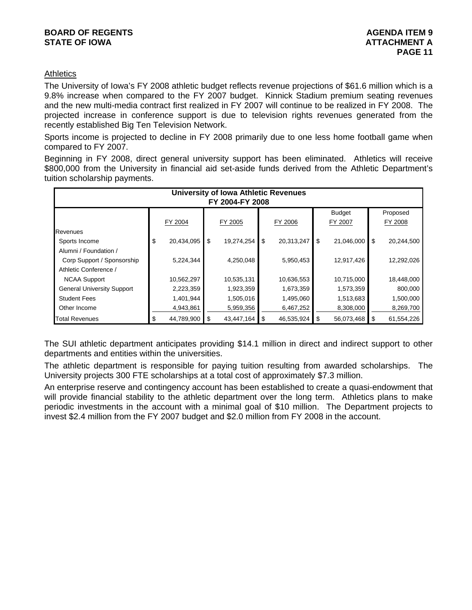## **BOARD OF REGENTS** AGENERATION OF REGENTS **STATE OF IOWA AND RESERVE A LOCAL CONSUMING A LOCAL CONSUMING A LOCAL CONSUMING A LOCAL CONSUMING A LOCAL CONSUMING A LOCAL CONSUMING A LOCAL CONSUMING A LOCAL CONSUMING A LOCAL CONSUMING A LOCAL CONSUMING A LOCAL CONSUMI**

## **Athletics**

The University of Iowa's FY 2008 athletic budget reflects revenue projections of \$61.6 million which is a 9.8% increase when compared to the FY 2007 budget. Kinnick Stadium premium seating revenues and the new multi-media contract first realized in FY 2007 will continue to be realized in FY 2008. The projected increase in conference support is due to television rights revenues generated from the recently established Big Ten Television Network.

Sports income is projected to decline in FY 2008 primarily due to one less home football game when compared to FY 2007.

Beginning in FY 2008, direct general university support has been eliminated. Athletics will receive \$800,000 from the University in financial aid set-aside funds derived from the Athletic Department's tuition scholarship payments.

|                                   | <b>University of Iowa Athletic Revenues</b> |            |    |            |    |            |    |               |      |            |  |
|-----------------------------------|---------------------------------------------|------------|----|------------|----|------------|----|---------------|------|------------|--|
|                                   | FY 2004-FY 2008                             |            |    |            |    |            |    |               |      |            |  |
|                                   |                                             |            |    |            |    |            |    | <b>Budget</b> |      | Proposed   |  |
|                                   |                                             | FY 2004    |    | FY 2005    |    | FY 2006    |    | FY 2007       |      | FY 2008    |  |
| <b>Revenues</b>                   |                                             |            |    |            |    |            |    |               |      |            |  |
| Sports Income                     | \$                                          | 20,434,095 | \$ | 19,274,254 | \$ | 20,313,247 | \$ | 21,046,000    | \$   | 20,244,500 |  |
| Alumni / Foundation /             |                                             |            |    |            |    |            |    |               |      |            |  |
| Corp Support / Sponsorship        |                                             | 5,224,344  |    | 4,250,048  |    | 5,950,453  |    | 12,917,426    |      | 12,292,026 |  |
| Athletic Conference /             |                                             |            |    |            |    |            |    |               |      |            |  |
| <b>NCAA Support</b>               |                                             | 10,562,297 |    | 10,535,131 |    | 10,636,553 |    | 10,715,000    |      | 18,448,000 |  |
| <b>General University Support</b> |                                             | 2,223,359  |    | 1,923,359  |    | 1,673,359  |    | 1,573,359     |      | 800,000    |  |
| <b>Student Fees</b>               |                                             | 1,401,944  |    | 1,505,016  |    | 1,495,060  |    | 1,513,683     |      | 1,500,000  |  |
| Other Income                      |                                             | 4,943,861  |    | 5,959,356  |    | 6,467,252  |    | 8,308,000     |      | 8,269,700  |  |
| <b>Total Revenues</b>             | \$                                          | 44,789,900 | \$ | 43,447,164 | \$ | 46,535,924 | \$ | 56,073,468    | - \$ | 61,554,226 |  |

The SUI athletic department anticipates providing \$14.1 million in direct and indirect support to other departments and entities within the universities.

The athletic department is responsible for paying tuition resulting from awarded scholarships. The University projects 300 FTE scholarships at a total cost of approximately \$7.3 million.

An enterprise reserve and contingency account has been established to create a quasi-endowment that will provide financial stability to the athletic department over the long term. Athletics plans to make periodic investments in the account with a minimal goal of \$10 million. The Department projects to invest \$2.4 million from the FY 2007 budget and \$2.0 million from FY 2008 in the account.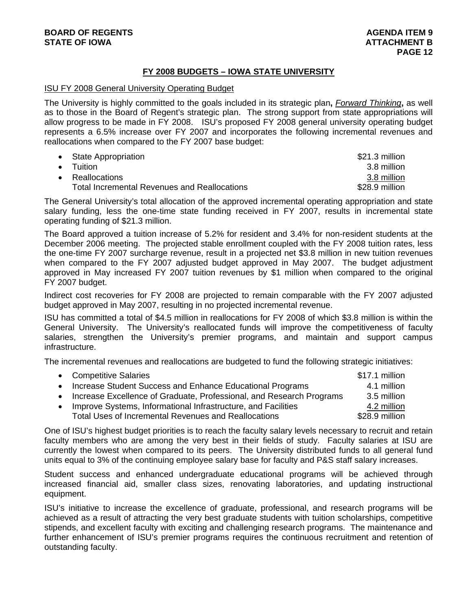## **FY 2008 BUDGETS – IOWA STATE UNIVERSITY**

#### ISU FY 2008 General University Operating Budget

The University is highly committed to the goals included in its strategic plan**,** *Forward Thinking***,** as well as to those in the Board of Regent's strategic plan. The strong support from state appropriations will allow progress to be made in FY 2008. ISU's proposed FY 2008 general university operating budget represents a 6.5% increase over FY 2007 and incorporates the following incremental revenues and reallocations when compared to the FY 2007 base budget:

| • State Appropriation                               | \$21.3 million |
|-----------------------------------------------------|----------------|
| $\bullet$ Tuition                                   | 3.8 million    |
| • Reallocations                                     | 3.8 million    |
| <b>Total Incremental Revenues and Reallocations</b> | \$28.9 million |

The General University's total allocation of the approved incremental operating appropriation and state salary funding, less the one-time state funding received in FY 2007, results in incremental state operating funding of \$21.3 million.

The Board approved a tuition increase of 5.2% for resident and 3.4% for non-resident students at the December 2006 meeting. The projected stable enrollment coupled with the FY 2008 tuition rates, less the one-time FY 2007 surcharge revenue, result in a projected net \$3.8 million in new tuition revenues when compared to the FY 2007 adjusted budget approved in May 2007. The budget adjustment approved in May increased FY 2007 tuition revenues by \$1 million when compared to the original FY 2007 budget.

Indirect cost recoveries for FY 2008 are projected to remain comparable with the FY 2007 adjusted budget approved in May 2007, resulting in no projected incremental revenue.

ISU has committed a total of \$4.5 million in reallocations for FY 2008 of which \$3.8 million is within the General University. The University's reallocated funds will improve the competitiveness of faculty salaries, strengthen the University's premier programs, and maintain and support campus infrastructure.

The incremental revenues and reallocations are budgeted to fund the following strategic initiatives:

|           | • Competitive Salaries                                                 | \$17.1 million |
|-----------|------------------------------------------------------------------------|----------------|
|           | • Increase Student Success and Enhance Educational Programs            | 4.1 million    |
|           | • Increase Excellence of Graduate, Professional, and Research Programs | 3.5 million    |
| $\bullet$ | Improve Systems, Informational Infrastructure, and Facilities          | 4.2 million    |
|           | Total Uses of Incremental Revenues and Reallocations                   | \$28.9 million |

One of ISU's highest budget priorities is to reach the faculty salary levels necessary to recruit and retain faculty members who are among the very best in their fields of study. Faculty salaries at ISU are currently the lowest when compared to its peers. The University distributed funds to all general fund units equal to 3% of the continuing employee salary base for faculty and P&S staff salary increases.

Student success and enhanced undergraduate educational programs will be achieved through increased financial aid, smaller class sizes, renovating laboratories, and updating instructional equipment.

ISU's initiative to increase the excellence of graduate, professional, and research programs will be achieved as a result of attracting the very best graduate students with tuition scholarships, competitive stipends, and excellent faculty with exciting and challenging research programs. The maintenance and further enhancement of ISU's premier programs requires the continuous recruitment and retention of outstanding faculty.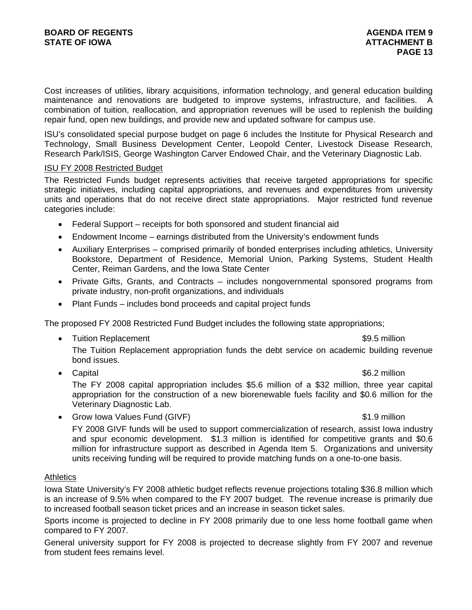Cost increases of utilities, library acquisitions, information technology, and general education building maintenance and renovations are budgeted to improve systems, infrastructure, and facilities. A combination of tuition, reallocation, and appropriation revenues will be used to replenish the building repair fund, open new buildings, and provide new and updated software for campus use.

ISU's consolidated special purpose budget on page 6 includes the Institute for Physical Research and Technology, Small Business Development Center, Leopold Center, Livestock Disease Research, Research Park/ISIS, George Washington Carver Endowed Chair, and the Veterinary Diagnostic Lab.

## ISU FY 2008 Restricted Budget

The Restricted Funds budget represents activities that receive targeted appropriations for specific strategic initiatives, including capital appropriations, and revenues and expenditures from university units and operations that do not receive direct state appropriations. Major restricted fund revenue categories include:

- Federal Support receipts for both sponsored and student financial aid
- Endowment Income earnings distributed from the University's endowment funds
- Auxiliary Enterprises comprised primarily of bonded enterprises including athletics, University Bookstore, Department of Residence, Memorial Union, Parking Systems, Student Health Center, Reiman Gardens, and the Iowa State Center
- Private Gifts, Grants, and Contracts includes nongovernmental sponsored programs from private industry, non-profit organizations, and individuals
- Plant Funds includes bond proceeds and capital project funds

The proposed FY 2008 Restricted Fund Budget includes the following state appropriations;

• Tuition Replacement **\$9.5 million \$9.5 million** 

The Tuition Replacement appropriation funds the debt service on academic building revenue bond issues.

• Capital **\*6.2 million** \*6.2 million

The FY 2008 capital appropriation includes \$5.6 million of a \$32 million, three year capital appropriation for the construction of a new biorenewable fuels facility and \$0.6 million for the Veterinary Diagnostic Lab.

• Grow Iowa Values Fund (GIVF)  $\sim$  81.9 million

## FY 2008 GIVF funds will be used to support commercialization of research, assist Iowa industry and spur economic development. \$1.3 million is identified for competitive grants and \$0.6 million for infrastructure support as described in Agenda Item 5. Organizations and university units receiving funding will be required to provide matching funds on a one-to-one basis.

## **Athletics**

Iowa State University's FY 2008 athletic budget reflects revenue projections totaling \$36.8 million which is an increase of 9.5% when compared to the FY 2007 budget. The revenue increase is primarily due to increased football season ticket prices and an increase in season ticket sales.

Sports income is projected to decline in FY 2008 primarily due to one less home football game when compared to FY 2007.

General university support for FY 2008 is projected to decrease slightly from FY 2007 and revenue from student fees remains level.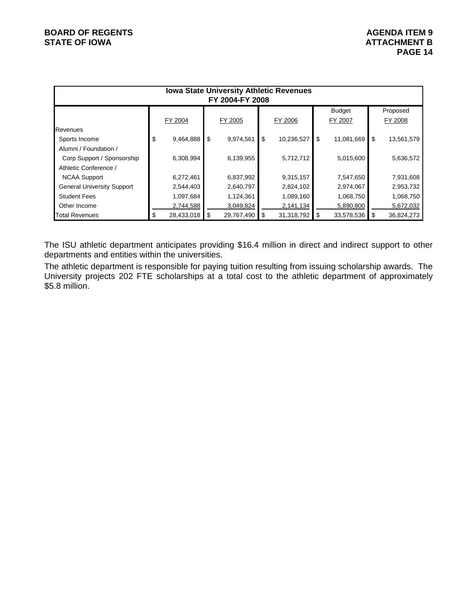| <b>Iowa State University Athletic Revenues</b><br>FY 2004-FY 2008 |    |            |    |            |    |            |    |            |      |            |  |  |
|-------------------------------------------------------------------|----|------------|----|------------|----|------------|----|------------|------|------------|--|--|
| <b>Budget</b><br>Proposed                                         |    |            |    |            |    |            |    |            |      |            |  |  |
|                                                                   |    | FY 2004    |    | FY 2005    |    | FY 2006    |    | FY 2007    |      | FY 2008    |  |  |
| Revenues                                                          |    |            |    |            |    |            |    |            |      |            |  |  |
| Sports Income                                                     | \$ | 9,464,888  | \$ | 9,974,561  | \$ | 10,236,527 | \$ | 11,081,669 | -\$  | 13,561,579 |  |  |
| Alumni / Foundation /                                             |    |            |    |            |    |            |    |            |      |            |  |  |
| Corp Support / Sponsorship                                        |    | 6,308,994  |    | 6,139,955  |    | 5,712,712  |    | 5,015,600  |      | 5,636,572  |  |  |
| Athletic Conference /                                             |    |            |    |            |    |            |    |            |      |            |  |  |
| <b>NCAA Support</b>                                               |    | 6,272,461  |    | 6,837,992  |    | 9,315,157  |    | 7,547,650  |      | 7,931,608  |  |  |
| <b>General University Support</b>                                 |    | 2,544,403  |    | 2,640,797  |    | 2,824,102  |    | 2,974,067  |      | 2,953,732  |  |  |
| <b>Student Fees</b>                                               |    | 1,097,684  |    | 1,124,361  |    | 1,089,160  |    | 1,068,750  |      | 1,068,750  |  |  |
| Other Income                                                      |    | 2,744,588  |    | 3,049,824  |    | 2,141,134  |    | 5,890,800  |      | 5,672,032  |  |  |
| <b>Total Revenues</b>                                             | \$ | 28,433,018 | \$ | 29,767,490 | \$ | 31,318,792 | \$ | 33,578,536 | - \$ | 36,824,273 |  |  |

The ISU athletic department anticipates providing \$16.4 million in direct and indirect support to other departments and entities within the universities.

The athletic department is responsible for paying tuition resulting from issuing scholarship awards. The University projects 202 FTE scholarships at a total cost to the athletic department of approximately \$5.8 million.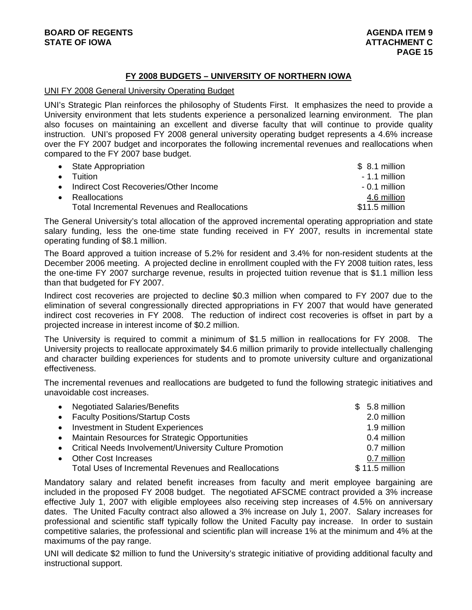## **FY 2008 BUDGETS – UNIVERSITY OF NORTHERN IOWA**

## UNI FY 2008 General University Operating Budget

UNI's Strategic Plan reinforces the philosophy of Students First. It emphasizes the need to provide a University environment that lets students experience a personalized learning environment. The plan also focuses on maintaining an excellent and diverse faculty that will continue to provide quality instruction. UNI's proposed FY 2008 general university operating budget represents a 4.6% increase over the FY 2007 budget and incorporates the following incremental revenues and reallocations when compared to the FY 2007 base budget.

|           | • State Appropriation                               | $$8.1$ million |
|-----------|-----------------------------------------------------|----------------|
| $\bullet$ | <b>Tuition</b>                                      | $-1.1$ million |
|           | Indirect Cost Recoveries/Other Income               | $-0.1$ million |
|           | <b>Reallocations</b>                                | 4.6 million    |
|           | <b>Total Incremental Revenues and Reallocations</b> | \$11.5 million |

The General University's total allocation of the approved incremental operating appropriation and state salary funding, less the one-time state funding received in FY 2007, results in incremental state operating funding of \$8.1 million.

The Board approved a tuition increase of 5.2% for resident and 3.4% for non-resident students at the December 2006 meeting. A projected decline in enrollment coupled with the FY 2008 tuition rates, less the one-time FY 2007 surcharge revenue, results in projected tuition revenue that is \$1.1 million less than that budgeted for FY 2007.

Indirect cost recoveries are projected to decline \$0.3 million when compared to FY 2007 due to the elimination of several congressionally directed appropriations in FY 2007 that would have generated indirect cost recoveries in FY 2008. The reduction of indirect cost recoveries is offset in part by a projected increase in interest income of \$0.2 million.

The University is required to commit a minimum of \$1.5 million in reallocations for FY 2008. The University projects to reallocate approximately \$4.6 million primarily to provide intellectually challenging and character building experiences for students and to promote university culture and organizational effectiveness.

The incremental revenues and reallocations are budgeted to fund the following strategic initiatives and unavoidable cost increases.

| • Negotiated Salaries/Benefits                            | $$5.8$ million  |
|-----------------------------------------------------------|-----------------|
| • Faculty Positions/Startup Costs                         | 2.0 million     |
| • Investment in Student Experiences                       | 1.9 million     |
| • Maintain Resources for Strategic Opportunities          | 0.4 million     |
| • Critical Needs Involvement/University Culture Promotion | 0.7 million     |
| • Other Cost Increases                                    | 0.7 million     |
| Total Uses of Incremental Revenues and Reallocations      | $$11.5$ million |

Mandatory salary and related benefit increases from faculty and merit employee bargaining are included in the proposed FY 2008 budget. The negotiated AFSCME contract provided a 3% increase effective July 1, 2007 with eligible employees also receiving step increases of 4.5% on anniversary dates. The United Faculty contract also allowed a 3% increase on July 1, 2007. Salary increases for professional and scientific staff typically follow the United Faculty pay increase. In order to sustain competitive salaries, the professional and scientific plan will increase 1% at the minimum and 4% at the maximums of the pay range.

UNI will dedicate \$2 million to fund the University's strategic initiative of providing additional faculty and instructional support.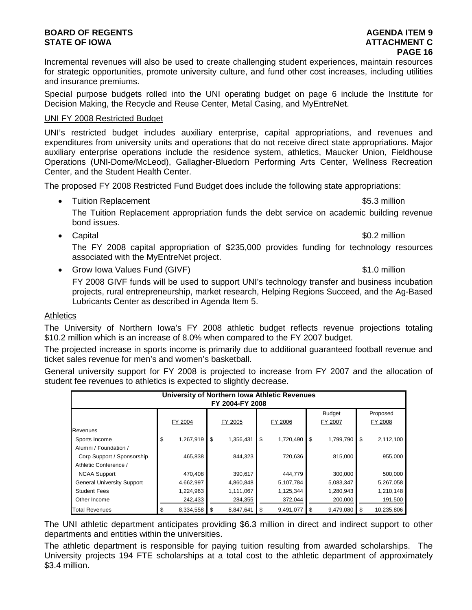## **BOARD OF REGENTS** AGENERATION OF REGENTS **STATE OF IOWA ATTACHMENT C**

Incremental revenues will also be used to create challenging student experiences, maintain resources for strategic opportunities, promote university culture, and fund other cost increases, including utilities and insurance premiums.

Special purpose budgets rolled into the UNI operating budget on page 6 include the Institute for Decision Making, the Recycle and Reuse Center, Metal Casing, and MyEntreNet.

## UNI FY 2008 Restricted Budget

UNI's restricted budget includes auxiliary enterprise, capital appropriations, and revenues and expenditures from university units and operations that do not receive direct state appropriations. Major auxiliary enterprise operations include the residence system, athletics, Maucker Union, Fieldhouse Operations (UNI-Dome/McLeod), Gallagher-Bluedorn Performing Arts Center, Wellness Recreation Center, and the Student Health Center.

The proposed FY 2008 Restricted Fund Budget does include the following state appropriations:

• Tuition Replacement **\$5.3 million** 

The Tuition Replacement appropriation funds the debt service on academic building revenue bond issues.

• Capital \$0.2 million

The FY 2008 capital appropriation of \$235,000 provides funding for technology resources associated with the MyEntreNet project.

• Grow Iowa Values Fund (GIVF)  $\sim$  81.0 million

FY 2008 GIVF funds will be used to support UNI's technology transfer and business incubation projects, rural entrepreneurship, market research, Helping Regions Succeed, and the Ag-Based Lubricants Center as described in Agenda Item 5.

## **Athletics**

The University of Northern Iowa's FY 2008 athletic budget reflects revenue projections totaling \$10.2 million which is an increase of 8.0% when compared to the FY 2007 budget.

The projected increase in sports income is primarily due to additional guaranteed football revenue and ticket sales revenue for men's and women's basketball.

General university support for FY 2008 is projected to increase from FY 2007 and the allocation of student fee revenues to athletics is expected to slightly decrease.

| University of Northern Iowa Athletic Revenues<br>FY 2004-FY 2008 |    |           |    |           |    |           |    |                          |                     |
|------------------------------------------------------------------|----|-----------|----|-----------|----|-----------|----|--------------------------|---------------------|
|                                                                  |    | FY 2004   |    | FY 2005   |    | FY 2006   |    | <b>Budget</b><br>FY 2007 | Proposed<br>FY 2008 |
| Revenues                                                         |    |           |    |           |    |           |    |                          |                     |
| Sports Income                                                    | \$ | 1,267,919 | \$ | 1,356,431 | \$ | 1,720,490 | \$ | 1,799,790                | \$<br>2,112,100     |
| Alumni / Foundation /                                            |    |           |    |           |    |           |    |                          |                     |
| Corp Support / Sponsorship                                       |    | 465,838   |    | 844.323   |    | 720,636   |    | 815.000                  | 955,000             |
| Athletic Conference /                                            |    |           |    |           |    |           |    |                          |                     |
| <b>NCAA Support</b>                                              |    | 470,408   |    | 390.617   |    | 444,779   |    | 300,000                  | 500,000             |
| <b>General University Support</b>                                |    | 4,662,997 |    | 4,860,848 |    | 5,107,784 |    | 5,083,347                | 5,267,058           |
| <b>Student Fees</b>                                              |    | 1,224,963 |    | 1,111,067 |    | 1,125,344 |    | 1,280,943                | 1,210,148           |
| Other Income                                                     |    | 242,433   |    | 284,355   |    | 372,044   |    | 200,000                  | 191,500             |
| <b>Total Revenues</b>                                            | \$ | 8,334,558 | S  | 8,847,641 | \$ | 9,491,077 | S  | 9,479,080                | 10.235.806          |

The UNI athletic department anticipates providing \$6.3 million in direct and indirect support to other departments and entities within the universities.

The athletic department is responsible for paying tuition resulting from awarded scholarships. The University projects 194 FTE scholarships at a total cost to the athletic department of approximately \$3.4 million.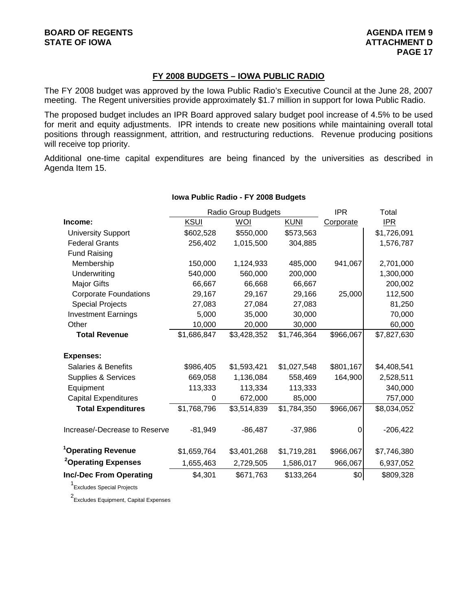## **FY 2008 BUDGETS – IOWA PUBLIC RADIO**

The FY 2008 budget was approved by the Iowa Public Radio's Executive Council at the June 28, 2007 meeting. The Regent universities provide approximately \$1.7 million in support for Iowa Public Radio.

The proposed budget includes an IPR Board approved salary budget pool increase of 4.5% to be used for merit and equity adjustments. IPR intends to create new positions while maintaining overall total positions through reassignment, attrition, and restructuring reductions. Revenue producing positions will receive top priority.

Additional one-time capital expenditures are being financed by the universities as described in Agenda Item 15.

|                                 |             | Radio Group Budgets | <b>IPR</b>  | Total     |             |
|---------------------------------|-------------|---------------------|-------------|-----------|-------------|
| Income:                         | <b>KSUI</b> | WOI                 | <b>KUNI</b> | Corporate | IPR         |
| <b>University Support</b>       | \$602,528   | \$550,000           | \$573,563   |           | \$1,726,091 |
| <b>Federal Grants</b>           | 256,402     | 1,015,500           | 304,885     |           | 1,576,787   |
| <b>Fund Raising</b>             |             |                     |             |           |             |
| Membership                      | 150,000     | 1,124,933           | 485,000     | 941,067   | 2,701,000   |
| Underwriting                    | 540,000     | 560,000             | 200,000     |           | 1,300,000   |
| Major Gifts                     | 66,667      | 66,668              | 66,667      |           | 200,002     |
| <b>Corporate Foundations</b>    | 29,167      | 29,167              | 29,166      | 25,000    | 112,500     |
| <b>Special Projects</b>         | 27,083      | 27,084              | 27,083      |           | 81,250      |
| <b>Investment Earnings</b>      | 5,000       | 35,000              | 30,000      |           | 70,000      |
| Other                           | 10,000      | 20,000              | 30,000      |           | 60,000      |
| <b>Total Revenue</b>            | \$1,686,847 | \$3,428,352         | \$1,746,364 | \$966,067 | \$7,827,630 |
| <b>Expenses:</b>                |             |                     |             |           |             |
| Salaries & Benefits             | \$986,405   | \$1,593,421         | \$1,027,548 | \$801,167 | \$4,408,541 |
| Supplies & Services             | 669,058     | 1,136,084           | 558,469     | 164,900   | 2,528,511   |
| Equipment                       | 113,333     | 113,334             | 113,333     |           | 340,000     |
| <b>Capital Expenditures</b>     | 0           | 672,000             | 85,000      |           | 757,000     |
| <b>Total Expenditures</b>       | \$1,768,796 | \$3,514,839         | \$1,784,350 | \$966,067 | \$8,034,052 |
| Increase/-Decrease to Reserve   | $-81,949$   | $-86,487$           | $-37,986$   | 0         | $-206,422$  |
| <sup>1</sup> Operating Revenue  | \$1,659,764 | \$3,401,268         | \$1,719,281 | \$966,067 | \$7,746,380 |
| <sup>2</sup> Operating Expenses | 1,655,463   | 2,729,505           | 1,586,017   | 966,067   | 6,937,052   |
| <b>Inc/-Dec From Operating</b>  | \$4,301     | \$671,763           | \$133,264   | \$0       | \$809,328   |

#### **Iowa Public Radio - FY 2008 Budgets**

1 Excludes Special Projects

2 Excludes Equipment, Capital Expenses